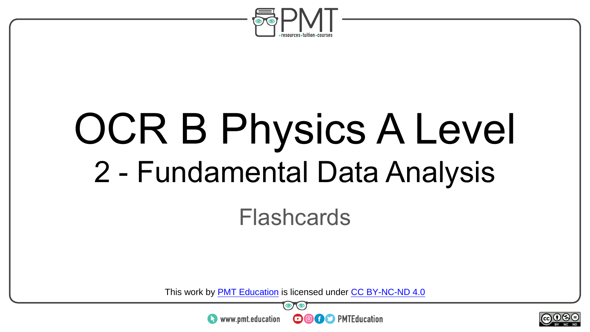

# OCR B Physics A Level 2 - Fundamental Data Analysis

Flashcards

This work by <u>PMT Education</u> is licensed under CC BY-NC-ND 4.0<br>
www.pmt.education **in the CO CO** PMTEducation



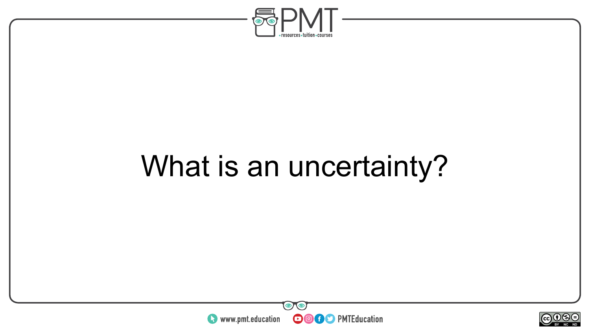

## What is an uncertainty?



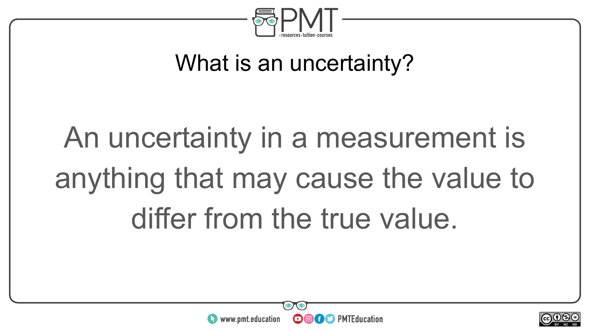

### What is an uncertainty?

# An uncertainty in a measurement is anything that may cause the value to differ from the true value.



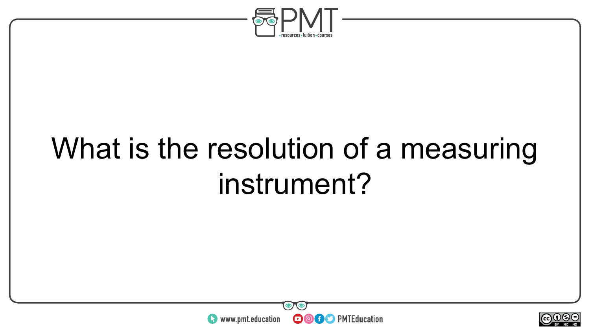

## What is the resolution of a measuring instrument?



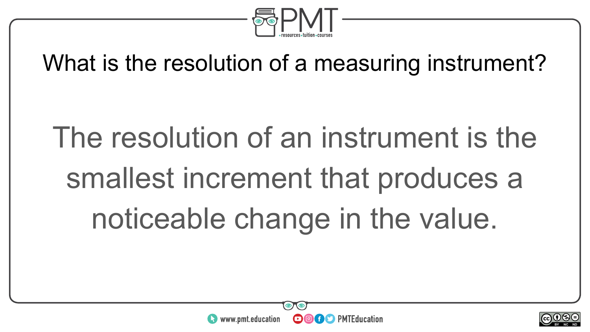

### What is the resolution of a measuring instrument?

# The resolution of an instrument is the smallest increment that produces a noticeable change in the value.

 $\boldsymbol{\Theta}$ 

**OO** PMTEducation



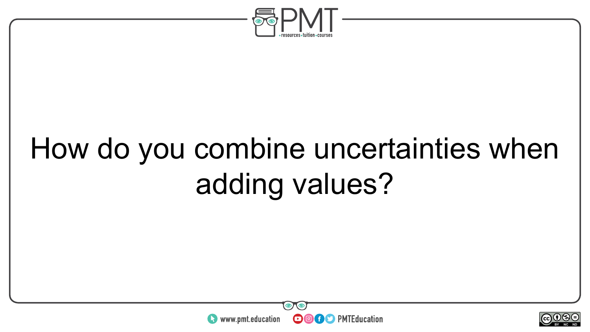

## How do you combine uncertainties when adding values?



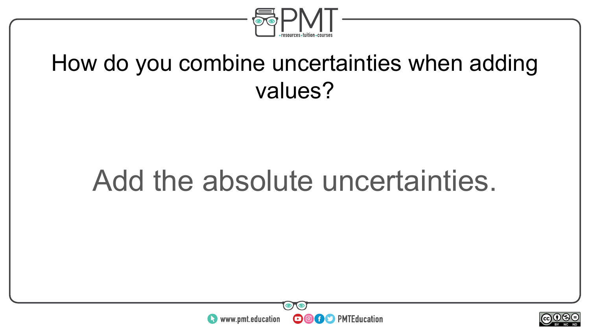

#### How do you combine uncertainties when adding values?

### Add the absolute uncertainties.



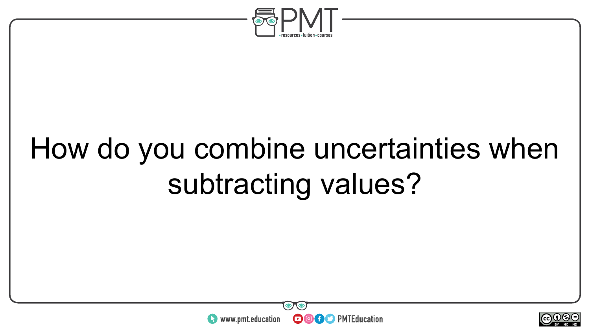

## How do you combine uncertainties when subtracting values?



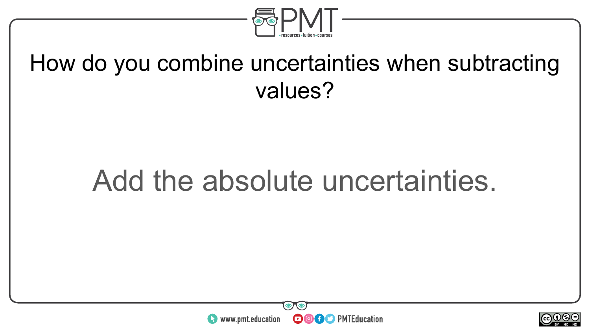

#### How do you combine uncertainties when subtracting values?

### Add the absolute uncertainties.



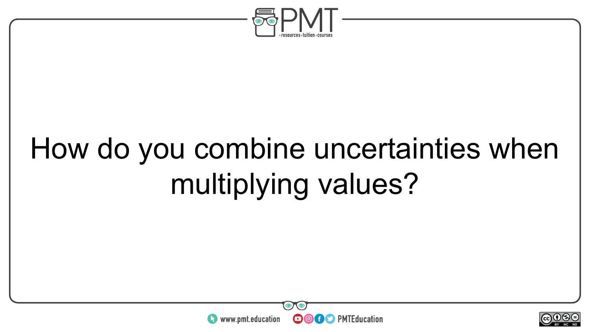

## How do you combine uncertainties when multiplying values?



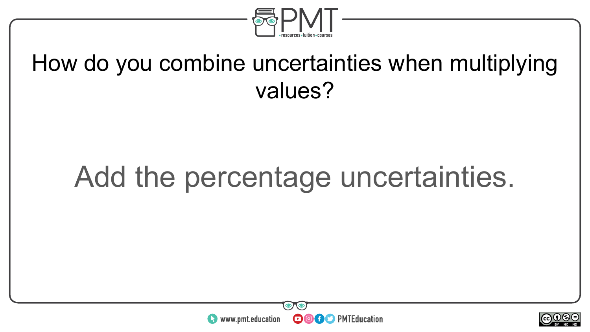

#### How do you combine uncertainties when multiplying values?

### Add the percentage uncertainties.



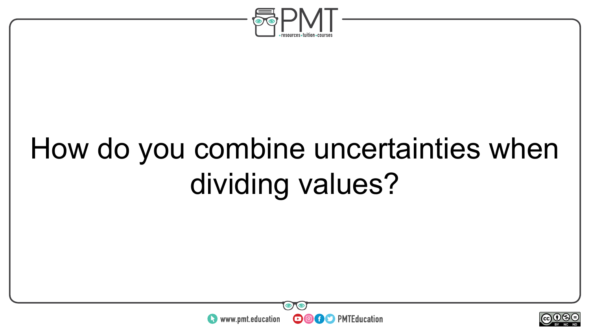

## How do you combine uncertainties when dividing values?



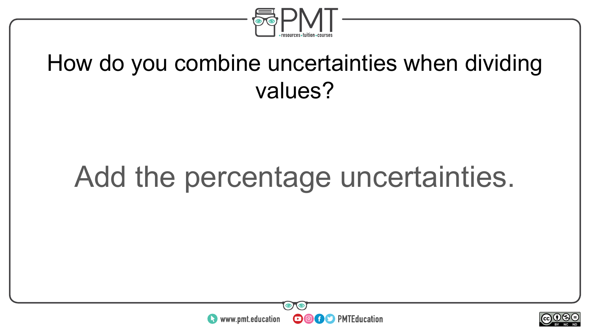

#### How do you combine uncertainties when dividing values?

### Add the percentage uncertainties.



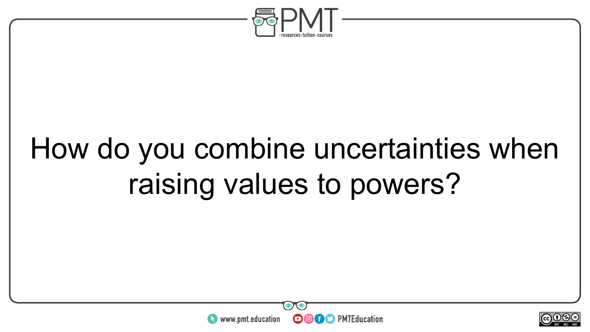

## How do you combine uncertainties when raising values to powers?



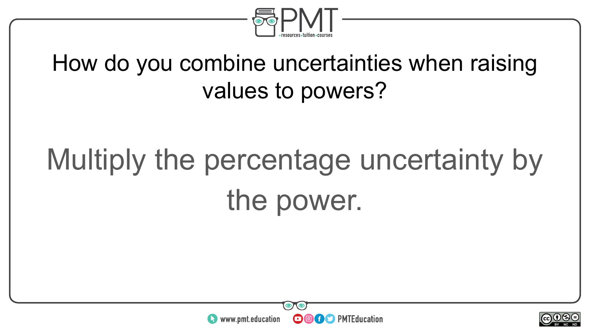

### How do you combine uncertainties when raising values to powers?

## Multiply the percentage uncertainty by the power.



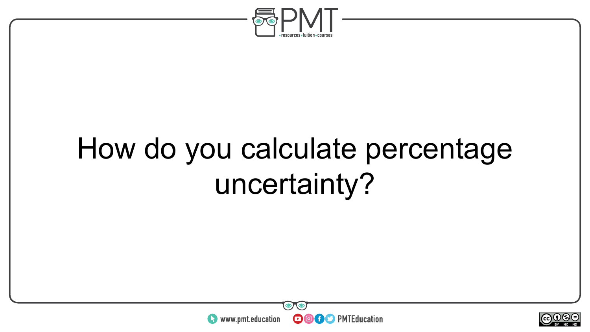

## How do you calculate percentage uncertainty?



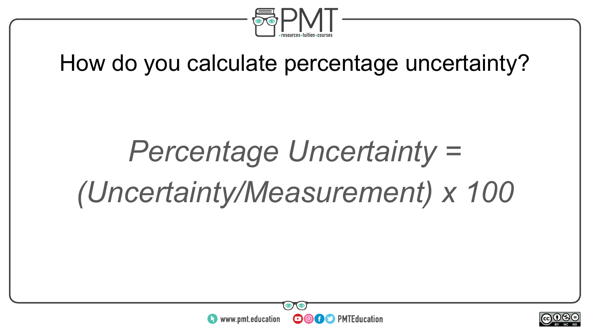

#### How do you calculate percentage uncertainty?

## *Percentage Uncertainty = (Uncertainty/Measurement) x 100*



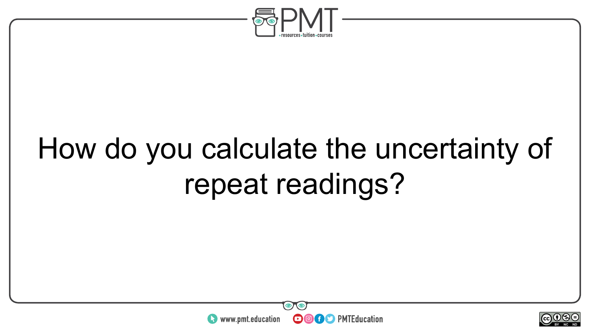

## How do you calculate the uncertainty of repeat readings?



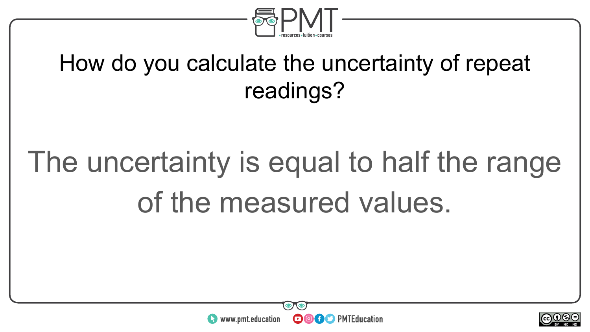

### How do you calculate the uncertainty of repeat readings?

## The uncertainty is equal to half the range of the measured values.



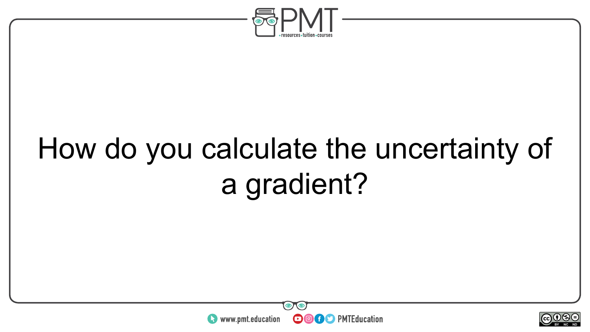

## How do you calculate the uncertainty of a gradient?



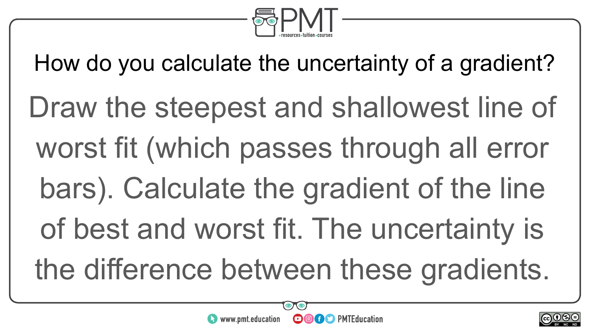

How do you calculate the uncertainty of a gradient?

- Draw the steepest and shallowest line of
- worst fit (which passes through all error
- bars). Calculate the gradient of the line
- of best and worst fit. The uncertainty is
- the difference between these gradients.



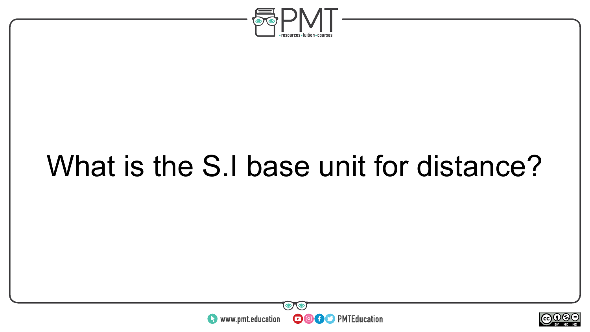

## What is the S.I base unit for distance?



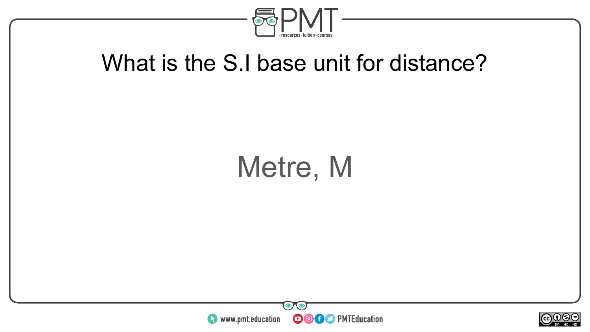

#### What is the S.I base unit for distance?

### Metre, M



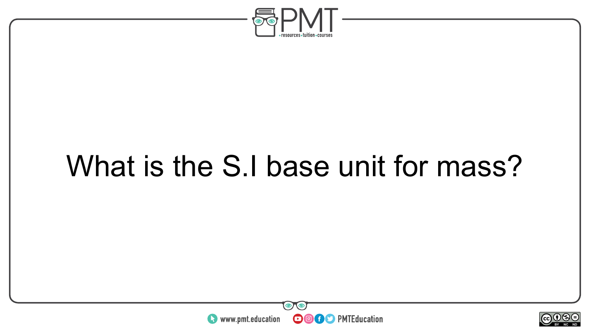

## What is the S.I base unit for mass?



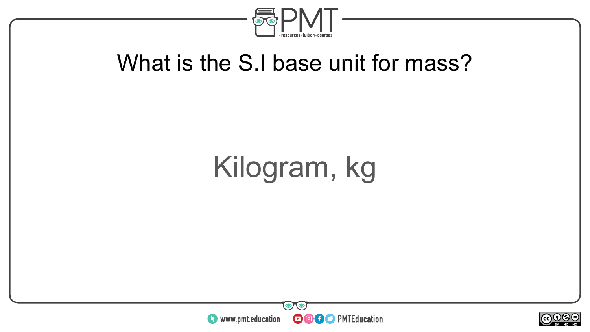

#### What is the S.I base unit for mass?

## Kilogram, kg



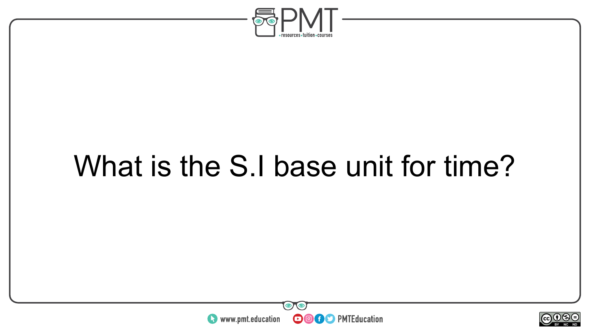

## What is the S.I base unit for time?



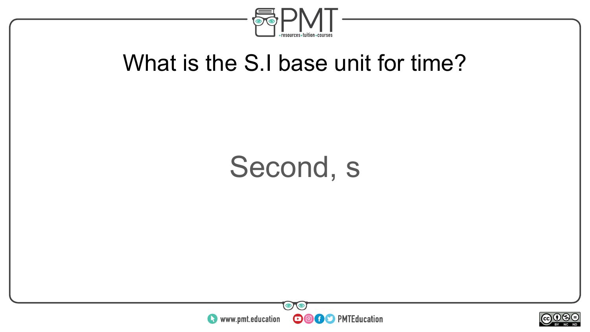

#### What is the S.I base unit for time?

### Second, s



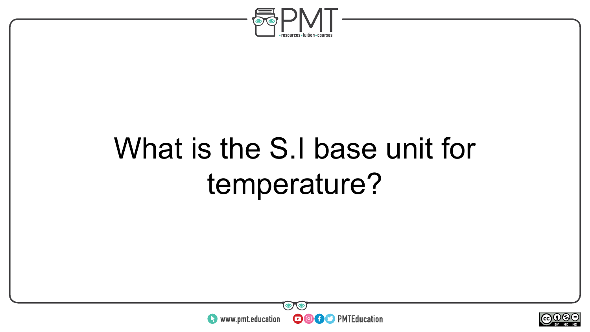

## What is the S.I base unit for temperature?



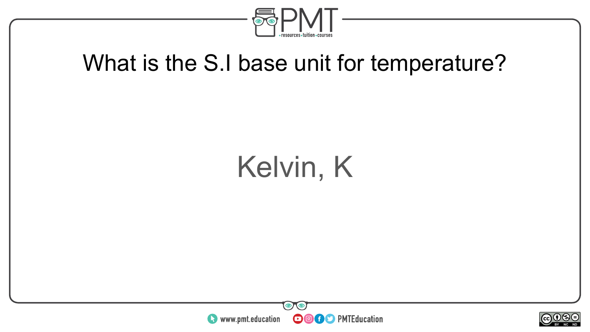

#### What is the S.I base unit for temperature?

### Kelvin, K



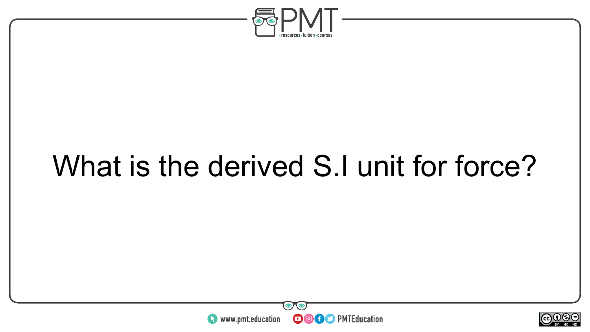

## What is the derived S.I unit for force?



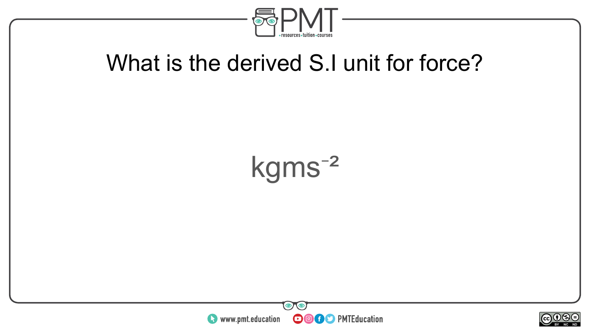

#### What is the derived S.I unit for force?

### $kgms^{-2}$



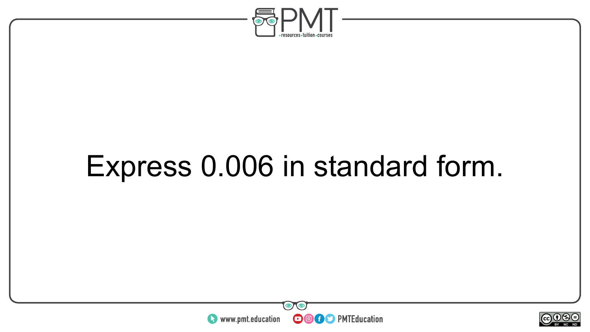

### Express 0.006 in standard form.



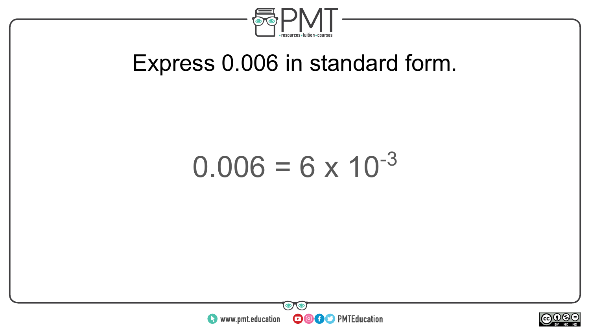

#### Express 0.006 in standard form.

### $0.006 = 6 \times 10^{-3}$



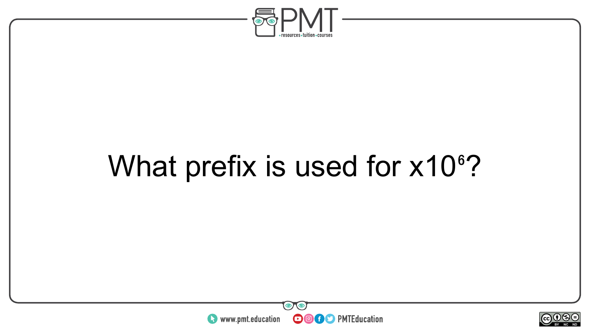

## What prefix is used for x10<sup>6</sup>?



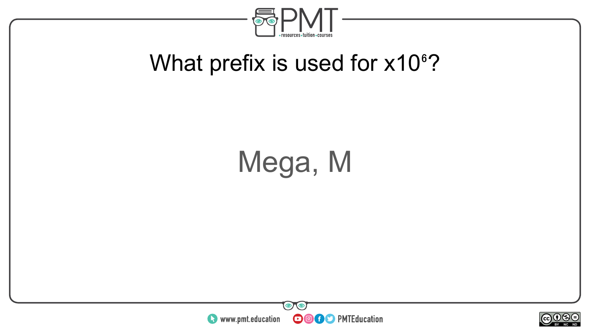

### What prefix is used for  $x10°$ ?

## Mega, M



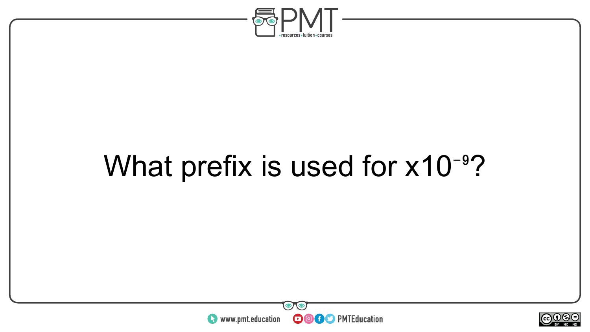

### What prefix is used for  $x10^{-9}$ ?



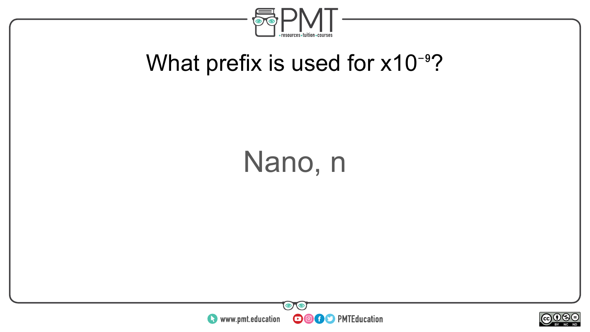

### What prefix is used for  $x10^{-9}$ ?

### Nano, n



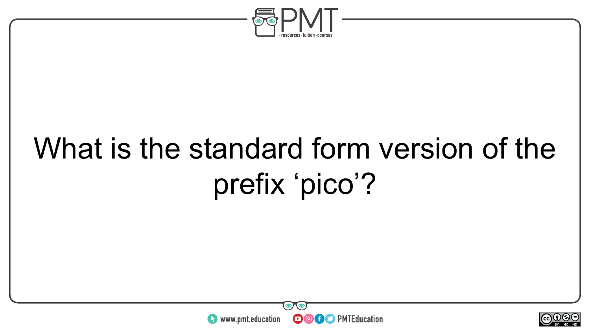

## What is the standard form version of the prefix 'pico'?



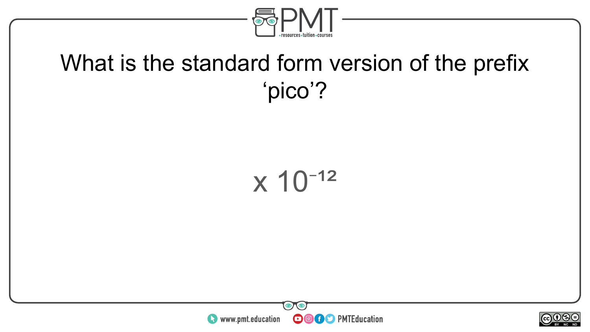

### What is the standard form version of the prefix 'pico'?





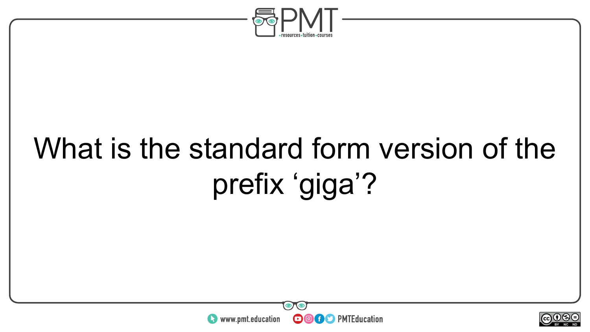

## What is the standard form version of the prefix 'giga'?



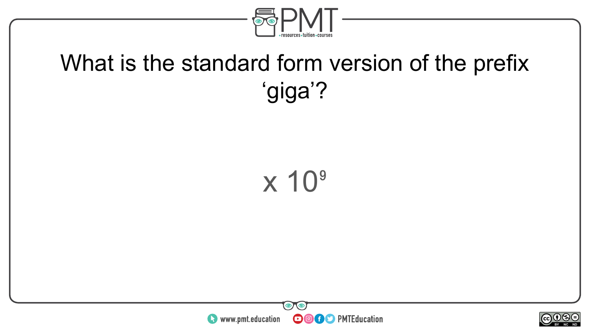

### What is the standard form version of the prefix 'giga'?





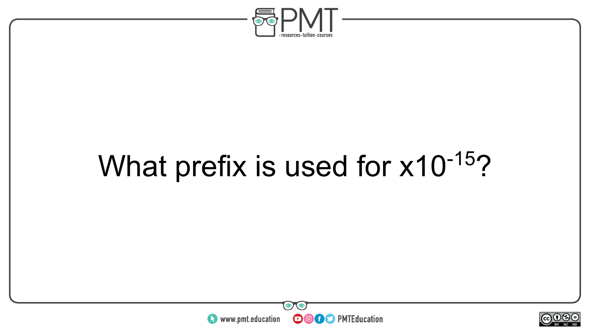

## What prefix is used for x10<sup>-15</sup>?



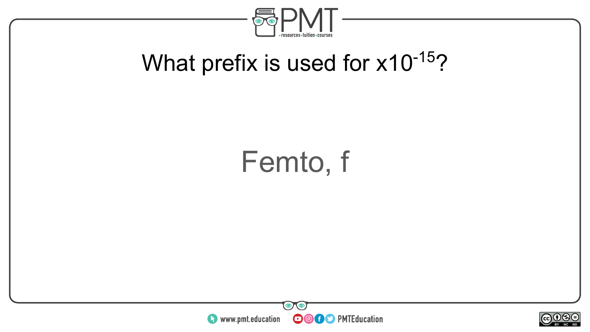

### What prefix is used for x10<sup>-15</sup>?

### Femto, f



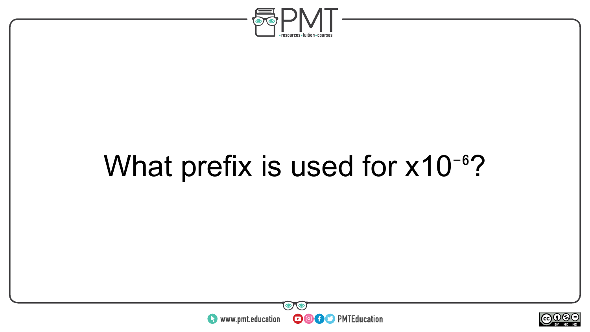

### What prefix is used for  $x10^{-6}$ ?



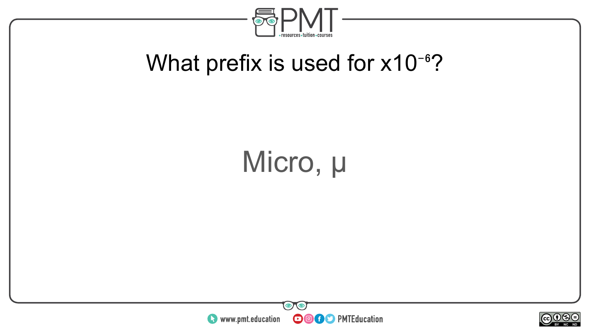

### What prefix is used for  $x10^{-6}$ ?

## Micro, µ



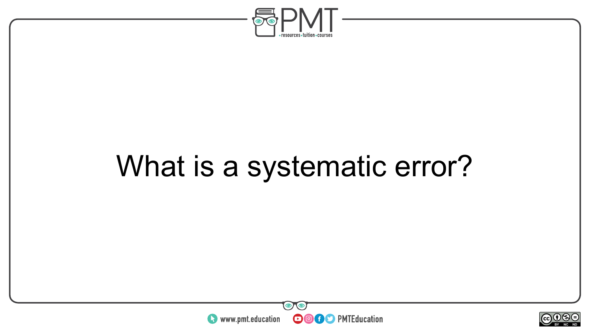

## What is a systematic error?



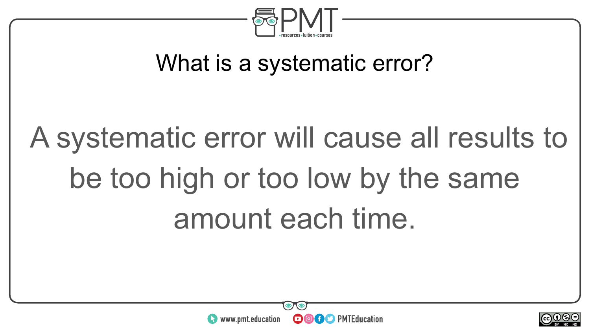

### What is a systematic error?

# A systematic error will cause all results to be too high or too low by the same amount each time.



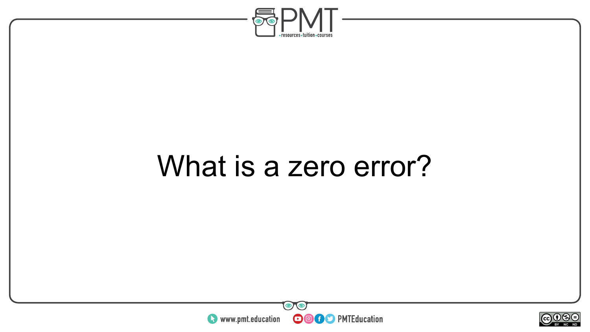

### What is a zero error?



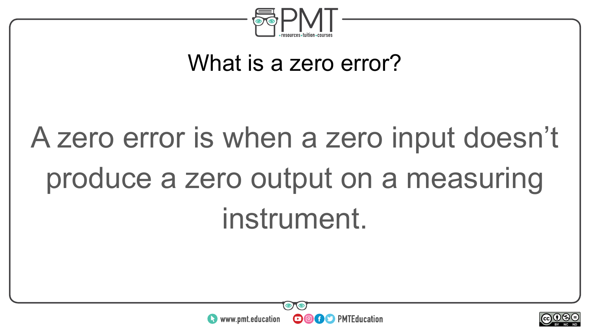

#### What is a zero error?

# A zero error is when a zero input doesn't produce a zero output on a measuring instrument.



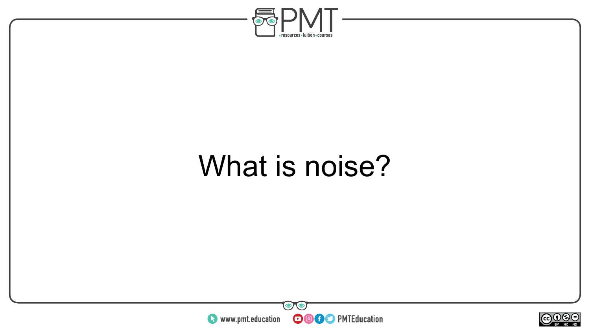

### What is noise?



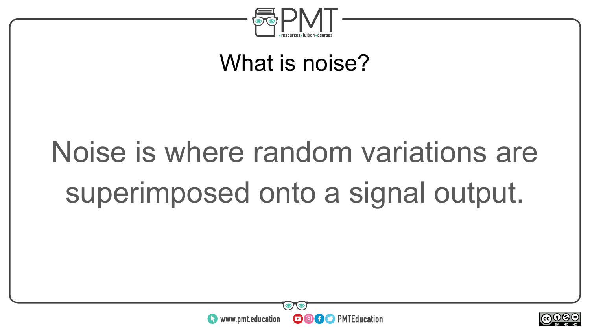

#### What is noise?

# Noise is where random variations are superimposed onto a signal output.



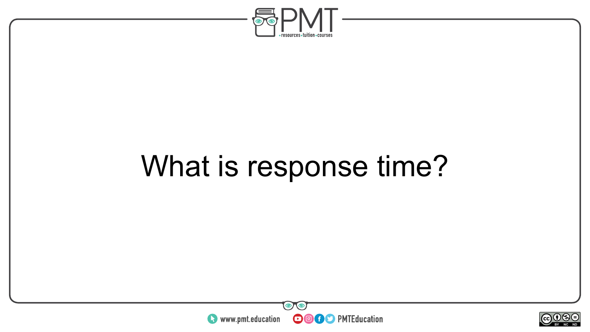

## What is response time?



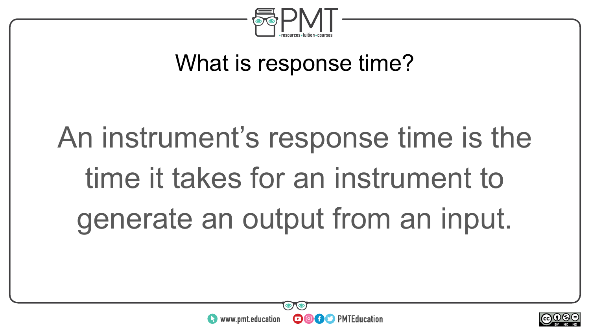

### What is response time?

# An instrument's response time is the time it takes for an instrument to generate an output from an input.



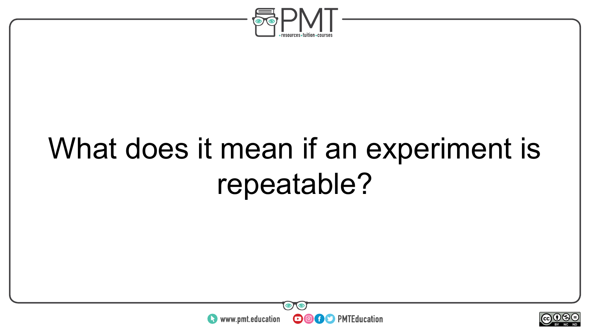

## What does it mean if an experiment is repeatable?



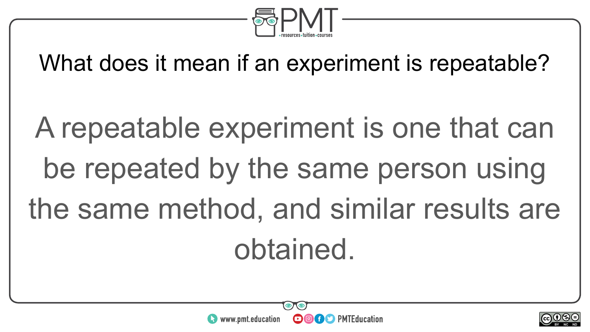

What does it mean if an experiment is repeatable?

A repeatable experiment is one that can be repeated by the same person using the same method, and similar results are obtained.



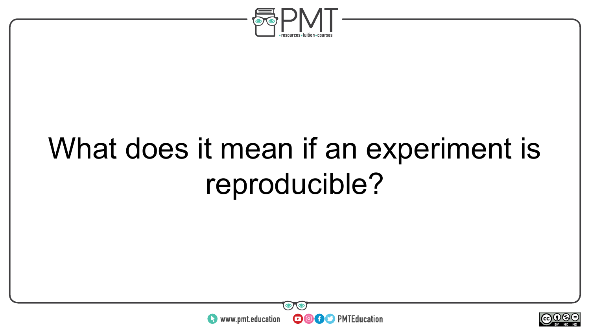

## What does it mean if an experiment is reproducible?



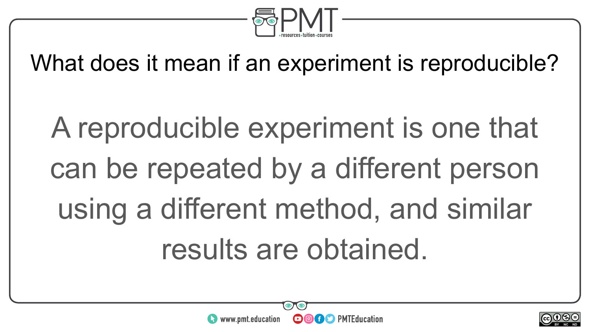

What does it mean if an experiment is reproducible?

A reproducible experiment is one that can be repeated by a different person using a different method, and similar results are obtained.



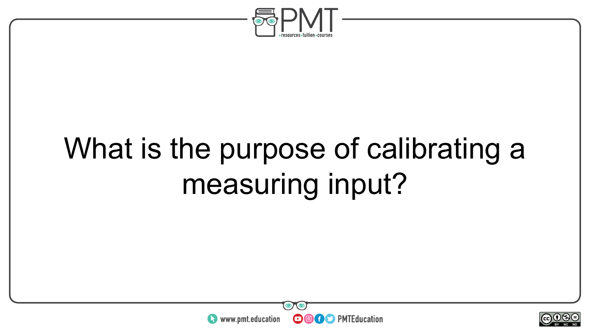

## What is the purpose of calibrating a measuring input?



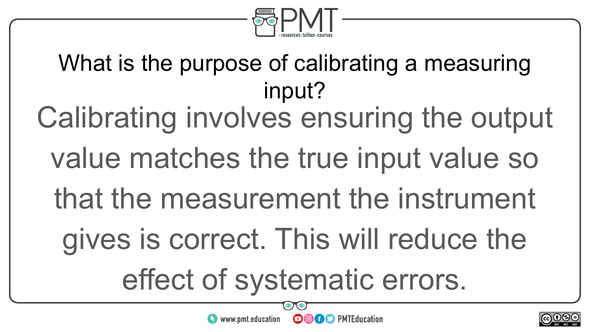

What is the purpose of calibrating a measuring input? Calibrating involves ensuring the output value matches the true input value so that the measurement the instrument gives is correct. This will reduce the effect of systematic errors.

**OOOO** PMTEducation



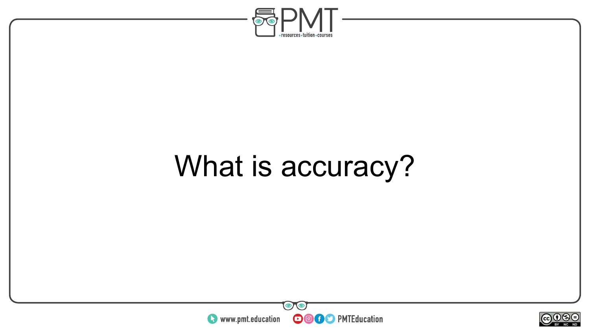

## What is accuracy?



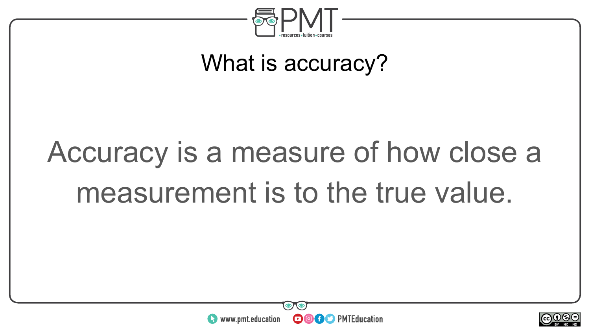

#### What is accuracy?

## Accuracy is a measure of how close a measurement is to the true value.



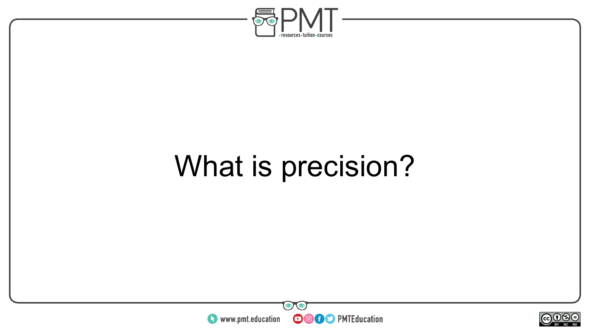

## What is precision?